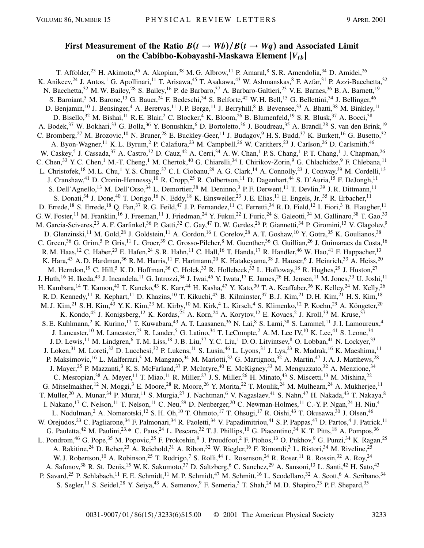## **First Measurement of the Ratio**  $B(t \rightarrow Wb)/B(t \rightarrow Wq)$  and Associated Limit **on the Cabibbo-Kobayashi-Maskawa Element** j*Vtb*j

T. Affolder,<sup>23</sup> H. Akimoto,<sup>45</sup> A. Akopian,<sup>38</sup> M. G. Albrow,<sup>11</sup> P. Amaral,<sup>8</sup> S. R. Amendolia,<sup>34</sup> D. Amidei,<sup>26</sup> K. Anikeev,<sup>24</sup> J. Antos,<sup>1</sup> G. Apollinari,<sup>11</sup> T. Arisawa,<sup>45</sup> T. Asakawa,<sup>43</sup> W. Ashmanskas,<sup>8</sup> F. Azfar,<sup>31</sup> P. Azzi-Bacchetta,<sup>32</sup> N. Bacchetta,<sup>32</sup> M. W. Bailey,<sup>28</sup> S. Bailey,<sup>16</sup> P. de Barbaro,<sup>37</sup> A. Barbaro-Galtieri,<sup>23</sup> V. E. Barnes,<sup>36</sup> B. A. Barnett,<sup>19</sup> S. Baroiant,<sup>5</sup> M. Barone,<sup>13</sup> G. Bauer,<sup>24</sup> F. Bedeschi,<sup>34</sup> S. Belforte,<sup>42</sup> W. H. Bell,<sup>15</sup> G. Bellettini,<sup>34</sup> J. Bellinger,<sup>46</sup> D. Benjamin,<sup>10</sup> J. Bensinger,<sup>4</sup> A. Beretvas,<sup>11</sup> J. P. Berge,<sup>11</sup> J. Berryhill,<sup>8</sup> B. Bevensee,<sup>33</sup> A. Bhatti,<sup>38</sup> M. Binkley,<sup>11</sup> D. Bisello,<sup>32</sup> M. Bishai,<sup>11</sup> R. E. Blair,<sup>2</sup> C. Blocker,<sup>4</sup> K. Bloom,<sup>26</sup> B. Blumenfeld,<sup>19</sup> S. R. Blusk,<sup>37</sup> A. Bocci,<sup>38</sup> A. Bodek,<sup>37</sup> W. Bokhari,<sup>33</sup> G. Bolla,<sup>36</sup> Y. Bonushkin,<sup>6</sup> D. Bortoletto,<sup>36</sup> J. Boudreau,<sup>35</sup> A. Brandl,<sup>28</sup> S. van den Brink,<sup>19</sup> C. Bromberg,<sup>27</sup> M. Brozovic,<sup>10</sup> N. Bruner,<sup>28</sup> E. Buckley-Geer,<sup>11</sup> J. Budagov,<sup>9</sup> H. S. Budd,<sup>37</sup> K. Burkett,<sup>16</sup> G. Busetto,<sup>32</sup> A. Byon-Wagner,<sup>11</sup> K. L. Byrum,<sup>2</sup> P. Calafiura,<sup>23</sup> M. Campbell,<sup>26</sup> W. Carithers,<sup>23</sup> J. Carlson,<sup>26</sup> D. Carlsmith,<sup>46</sup> W. Caskey,<sup>5</sup> J. Cassada,<sup>37</sup> A. Castro,<sup>32</sup> D. Cauz,<sup>42</sup> A. Cerri,<sup>34</sup> A. W. Chan,<sup>1</sup> P. S. Chang,<sup>1</sup> P. T. Chang,<sup>1</sup> J. Chapman,<sup>26</sup> C. Chen,<sup>33</sup> Y. C. Chen,<sup>1</sup> M.-T. Cheng,<sup>1</sup> M. Chertok,<sup>40</sup> G. Chiarelli,<sup>34</sup> I. Chirikov-Zorin,<sup>9</sup> G. Chlachidze,<sup>9</sup> F. Chlebana,<sup>11</sup> L. Christofek,<sup>18</sup> M. L. Chu,<sup>1</sup> Y. S. Chung,<sup>37</sup> C. I. Ciobanu,<sup>29</sup> A. G. Clark,<sup>14</sup> A. Connolly,<sup>23</sup> J. Conway,<sup>39</sup> M. Cordelli,<sup>13</sup> J. Cranshaw,<sup>41</sup> D. Cronin-Hennessy,<sup>10</sup> R. Cropp,<sup>25</sup> R. Culbertson,<sup>11</sup> D. Dagenhart,<sup>44</sup> S. D'Auria,<sup>15</sup> F. DeJongh,<sup>11</sup> S. Dell'Agnello,<sup>13</sup> M. Dell'Orso,<sup>34</sup> L. Demortier,<sup>38</sup> M. Deninno,<sup>3</sup> P. F. Derwent,<sup>11</sup> T. Devlin,<sup>39</sup> J. R. Dittmann,<sup>11</sup> S. Donati,<sup>34</sup> J. Done,<sup>40</sup> T. Dorigo,<sup>16</sup> N. Eddy,<sup>18</sup> K. Einsweiler,<sup>23</sup> J. E. Elias,<sup>11</sup> E. Engels, Jr.,<sup>35</sup> R. Erbacher,<sup>11</sup> D. Errede,<sup>18</sup> S. Errede,<sup>18</sup> Q. Fan,<sup>37</sup> R. G. Feild,<sup>47</sup> J. P. Fernandez,<sup>11</sup> C. Ferretti,<sup>34</sup> R. D. Field,<sup>12</sup> I. Fiori,<sup>3</sup> B. Flaugher,<sup>11</sup> G. W. Foster,<sup>11</sup> M. Franklin,<sup>16</sup> J. Freeman,<sup>11</sup> J. Friedman,<sup>24</sup> Y. Fukui,<sup>22</sup> I. Furic,<sup>24</sup> S. Galeotti,<sup>34</sup> M. Gallinaro,<sup>38</sup> T. Gao,<sup>33</sup> M. Garcia-Sciveres,<sup>23</sup> A. F. Garfinkel,<sup>36</sup> P. Gatti,<sup>32</sup> C. Gay,<sup>47</sup> D. W. Gerdes,<sup>26</sup> P. Giannetti,<sup>34</sup> P. Giromini,<sup>13</sup> V. Glagolev,<sup>9</sup> D. Glenzinski,<sup>11</sup> M. Gold,<sup>28</sup> J. Goldstein,<sup>11</sup> A. Gordon,<sup>16</sup> I. Gorelov,<sup>28</sup> A. T. Goshaw,<sup>10</sup> Y. Gotra,<sup>35</sup> K. Goulianos,<sup>38</sup> C. Green,<sup>36</sup> G. Grim,<sup>5</sup> P. Gris,<sup>11</sup> L. Groer,<sup>39</sup> C. Grosso-Pilcher,<sup>8</sup> M. Guenther,<sup>36</sup> G. Guillian,<sup>26</sup> J. Guimaraes da Costa,<sup>16</sup> R. M. Haas,<sup>12</sup> C. Haber,<sup>23</sup> E. Hafen,<sup>24</sup> S. R. Hahn,<sup>11</sup> C. Hall,<sup>16</sup> T. Handa,<sup>17</sup> R. Handler,<sup>46</sup> W. Hao,<sup>41</sup> F. Happacher,<sup>13</sup> K. Hara,<sup>43</sup> A. D. Hardman,<sup>36</sup> R. M. Harris,<sup>11</sup> F. Hartmann,<sup>20</sup> K. Hatakeyama,<sup>38</sup> J. Hauser,<sup>6</sup> J. Heinrich,<sup>33</sup> A. Heiss,<sup>20</sup> M. Herndon,<sup>19</sup> C. Hill,<sup>5</sup> K. D. Hoffman,<sup>36</sup> C. Holck,<sup>33</sup> R. Hollebeek,<sup>33</sup> L. Holloway,<sup>18</sup> R. Hughes,<sup>29</sup> J. Huston,<sup>27</sup> J. Huth,<sup>16</sup> H. Ikeda,<sup>43</sup> J. Incandela,<sup>11</sup> G. Introzzi,<sup>34</sup> J. Iwai,<sup>45</sup> Y. Iwata,<sup>17</sup> E. James,<sup>26</sup> H. Jensen,<sup>11</sup> M. Jones,<sup>33</sup> U. Joshi,<sup>11</sup> H. Kambara,<sup>14</sup> T. Kamon,<sup>40</sup> T. Kaneko,<sup>43</sup> K. Karr,<sup>44</sup> H. Kasha,<sup>47</sup> Y. Kato,<sup>30</sup> T. A. Keaffaber,<sup>36</sup> K. Kelley,<sup>24</sup> M. Kelly,<sup>26</sup> R. D. Kennedy,<sup>11</sup> R. Kephart,<sup>11</sup> D. Khazins,<sup>10</sup> T. Kikuchi,<sup>43</sup> B. Kilminster,<sup>37</sup> B. J. Kim,<sup>21</sup> D. H. Kim,<sup>21</sup> H. S. Kim,<sup>18</sup> M. J. Kim,<sup>21</sup> S. H. Kim,<sup>43</sup> Y. K. Kim,<sup>23</sup> M. Kirby,<sup>10</sup> M. Kirk,<sup>4</sup> L. Kirsch,<sup>4</sup> S. Klimenko,<sup>12</sup> P. Koehn,<sup>29</sup> A. Köngeter,<sup>20</sup> K. Kondo,<sup>45</sup> J. Konigsberg,<sup>12</sup> K. Kordas,<sup>25</sup> A. Korn,<sup>24</sup> A. Korytov,<sup>12</sup> E. Kovacs,<sup>2</sup> J. Kroll,<sup>33</sup> M. Kruse,<sup>37</sup> S. E. Kuhlmann,<sup>2</sup> K. Kurino,<sup>17</sup> T. Kuwabara,<sup>43</sup> A. T. Laasanen,<sup>36</sup> N. Lai,<sup>8</sup> S. Lami,<sup>38</sup> S. Lammel,<sup>11</sup> J. I. Lamoureux,<sup>4</sup> J. Lancaster,<sup>10</sup> M. Lancaster,<sup>23</sup> R. Lander,<sup>5</sup> G. Latino,<sup>34</sup> T. LeCompte,<sup>2</sup> A. M. Lee IV,<sup>10</sup> K. Lee,<sup>41</sup> S. Leone,<sup>34</sup> J. D. Lewis,<sup>11</sup> M. Lindgren,<sup>6</sup> T. M. Liss,<sup>18</sup> J. B. Liu,<sup>37</sup> Y. C. Liu,<sup>1</sup> D. O. Litvintsev,<sup>8</sup> O. Lobban,<sup>41</sup> N. Lockyer,<sup>33</sup> J. Loken,<sup>31</sup> M. Loreti,<sup>32</sup> D. Lucchesi,<sup>32</sup> P. Lukens,<sup>11</sup> S. Lusin,<sup>46</sup> L. Lyons,<sup>31</sup> J. Lys,<sup>23</sup> R. Madrak,<sup>16</sup> K. Maeshima,<sup>11</sup> P. Maksimovic,<sup>16</sup> L. Malferrari,<sup>3</sup> M. Mangano,<sup>34</sup> M. Mariotti,<sup>32</sup> G. Martignon,<sup>32</sup> A. Martin,<sup>47</sup> J. A. J. Matthews,<sup>28</sup> J. Mayer,<sup>25</sup> P. Mazzanti,<sup>3</sup> K. S. McFarland,<sup>37</sup> P. McIntyre,<sup>40</sup> E. McKigney,<sup>33</sup> M. Menguzzato,<sup>32</sup> A. Menzione,<sup>34</sup> C. Mesropian,<sup>38</sup> A. Meyer,<sup>11</sup> T. Miao,<sup>11</sup> R. Miller,<sup>27</sup> J. S. Miller,<sup>26</sup> H. Minato,<sup>43</sup> S. Miscetti,<sup>13</sup> M. Mishina,<sup>22</sup> G. Mitselmakher,<sup>12</sup> N. Moggi,<sup>3</sup> E. Moore,<sup>28</sup> R. Moore,<sup>26</sup> Y. Morita,<sup>22</sup> T. Moulik,<sup>24</sup> M. Mulhearn,<sup>24</sup> A. Mukherjee,<sup>11</sup> T. Muller,<sup>20</sup> A. Munar,<sup>34</sup> P. Murat,<sup>11</sup> S. Murgia,<sup>27</sup> J. Nachtman,<sup>6</sup> V. Nagaslaev,<sup>41</sup> S. Nahn,<sup>47</sup> H. Nakada,<sup>43</sup> T. Nakaya,<sup>8</sup> I. Nakano,<sup>17</sup> C. Nelson,<sup>11</sup> T. Nelson,<sup>11</sup> C. Neu,<sup>29</sup> D. Neuberger,<sup>20</sup> C. Newman-Holmes,<sup>11</sup> C.-Y. P. Ngan,<sup>24</sup> H. Niu,<sup>4</sup> L. Nodulman,<sup>2</sup> A. Nomerotski,<sup>12</sup> S. H. Oh,<sup>10</sup> T. Ohmoto,<sup>17</sup> T. Ohsugi,<sup>17</sup> R. Oishi,<sup>43</sup> T. Okusawa,<sup>30</sup> J. Olsen,<sup>46</sup> W. Orejudos,<sup>23</sup> C. Pagliarone,<sup>34</sup> F. Palmonari,<sup>34</sup> R. Paoletti,<sup>34</sup> V. Papadimitriou,<sup>41</sup> S. P. Pappas,<sup>47</sup> D. Partos,<sup>4</sup> J. Patrick,<sup>11</sup> G. Pauletta,<sup>42</sup> M. Paulini,<sup>23,\*</sup> C. Paus,<sup>24</sup> L. Pescara,<sup>32</sup> T. J. Phillips,<sup>10</sup> G. Piacentino,<sup>34</sup> K. T. Pitts,<sup>18</sup> A. Pompos,<sup>36</sup> L. Pondrom,<sup>46</sup> G. Pope,<sup>35</sup> M. Popovic,<sup>25</sup> F. Prokoshin,<sup>9</sup> J. Proudfoot,<sup>2</sup> F. Ptohos,<sup>13</sup> O. Pukhov,<sup>9</sup> G. Punzi,<sup>34</sup> K. Ragan,<sup>25</sup> A. Rakitine,<sup>24</sup> D. Reher,<sup>23</sup> A. Reichold,<sup>31</sup> A. Ribon,<sup>32</sup> W. Riegler,<sup>16</sup> F. Rimondi,<sup>3</sup> L. Ristori,<sup>34</sup> M. Riveline,<sup>25</sup> W. J. Robertson,<sup>10</sup> A. Robinson,<sup>25</sup> T. Rodrigo,<sup>7</sup> S. Rolli,<sup>44</sup> L. Rosenson,<sup>24</sup> R. Roser,<sup>11</sup> R. Rossin,<sup>32</sup> A. Roy,<sup>24</sup> A. Safonov,<sup>38</sup> R. St. Denis,<sup>15</sup> W. K. Sakumoto,<sup>37</sup> D. Saltzberg,<sup>6</sup> C. Sanchez,<sup>29</sup> A. Sansoni,<sup>13</sup> L. Santi,<sup>42</sup> H. Sato,<sup>43</sup> P. Savard,<sup>25</sup> P. Schlabach,<sup>11</sup> E. E. Schmidt,<sup>11</sup> M. P. Schmidt,<sup>47</sup> M. Schmitt,<sup>16</sup> L. Scodellaro,<sup>32</sup> A. Scott,<sup>6</sup> A. Scribano,<sup>34</sup> S. Segler,<sup>11</sup> S. Seidel,<sup>28</sup> Y. Seiya,<sup>43</sup> A. Semenov,<sup>9</sup> F. Semeria,<sup>3</sup> T. Shah,<sup>24</sup> M. D. Shapiro,<sup>23</sup> P. F. Shepard,<sup>35</sup>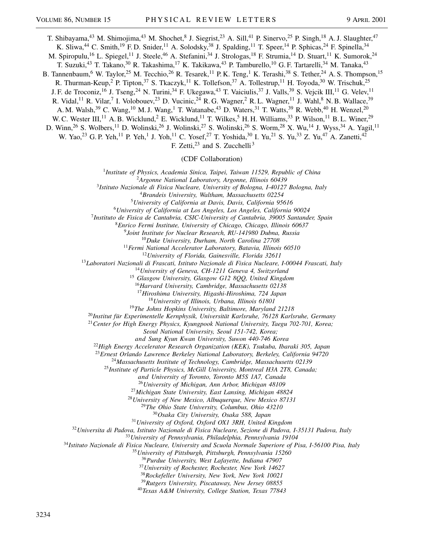T. Shibayama,<sup>43</sup> M. Shimojima,<sup>43</sup> M. Shochet,<sup>8</sup> J. Siegrist,<sup>23</sup> A. Sill,<sup>41</sup> P. Sinervo,<sup>25</sup> P. Singh,<sup>18</sup> A. J. Slaughter,<sup>47</sup>

K. Sliwa,<sup>44</sup> C. Smith,<sup>19</sup> F. D. Snider,<sup>11</sup> A. Solodsky,<sup>38</sup> J. Spalding,<sup>11</sup> T. Speer,<sup>14</sup> P. Sphicas,<sup>24</sup> F. Spinella,<sup>34</sup>

M. Spiropulu,<sup>16</sup> L. Spiegel,<sup>11</sup> J. Steele,<sup>46</sup> A. Stefanini,<sup>34</sup> J. Strologas,<sup>18</sup> F. Strumia,<sup>14</sup> D. Stuart,<sup>11</sup> K. Sumorok,<sup>24</sup> T. Suzuki,<sup>43</sup> T. Takano,<sup>30</sup> R. Takashima,<sup>17</sup> K. Takikawa,<sup>43</sup> P. Tamburello,<sup>10</sup> G. F. Tartarelli,<sup>34</sup> M. Tanaka,<sup>43</sup>

B. Tannenbaum,<sup>6</sup> W. Taylor,<sup>25</sup> M. Tecchio,<sup>26</sup> R. Tesarek,<sup>11</sup> P. K. Teng,<sup>1</sup> K. Terashi,<sup>38</sup> S. Tether,<sup>24</sup> A. S. Thompson,<sup>15</sup>

R. Thurman-Keup,<sup>2</sup> P. Tipton,<sup>37</sup> S. Tkaczyk,<sup>11</sup> K. Tollefson,<sup>37</sup> A. Tollestrup,<sup>11</sup> H. Toyoda,<sup>30</sup> W. Trischuk,<sup>25</sup> J. F. de Troconiz,<sup>16</sup> J. Tseng,<sup>24</sup> N. Turini,<sup>34</sup> F. Ukegawa,<sup>43</sup> T. Vaiciulis,<sup>37</sup> J. Valls,<sup>39</sup> S. Vejcik III,<sup>11</sup> G. Velev,<sup>11</sup>

R. Vidal,<sup>11</sup> R. Vilar,<sup>7</sup> I. Volobouev,<sup>23</sup> D. Vucinic,<sup>24</sup> R. G. Wagner,<sup>2</sup> R. L. Wagner,<sup>11</sup> J. Wahl,<sup>8</sup> N. B. Wallace,<sup>39</sup>

A. M. Walsh,<sup>39</sup> C. Wang,<sup>10</sup> M. J. Wang,<sup>1</sup> T. Watanabe,<sup>43</sup> D. Waters,<sup>31</sup> T. Watts,<sup>39</sup> R. Webb,<sup>40</sup> H. Wenzel,<sup>20</sup>

W. C. Wester III,<sup>11</sup> A. B. Wicklund,<sup>2</sup> E. Wicklund,<sup>11</sup> T. Wilkes,<sup>5</sup> H. H. Williams,<sup>33</sup> P. Wilson,<sup>11</sup> B. L. Winer,<sup>29</sup>

D. Winn,<sup>26</sup> S. Wolbers,<sup>11</sup> D. Wolinski,<sup>26</sup> J. Wolinski,<sup>27</sup> S. Wolinski,<sup>26</sup> S. Worm,<sup>28</sup> X. Wu,<sup>14</sup> J. Wyss,<sup>34</sup> A. Yagil,<sup>11</sup> W. Yao,<sup>23</sup> G. P. Yeh,<sup>11</sup> P. Yeh,<sup>1</sup> J. Yoh,<sup>11</sup> C. Yosef,<sup>27</sup> T. Yoshida,<sup>30</sup> I. Yu,<sup>21</sup> S. Yu,<sup>33</sup> Z. Yu,<sup>47</sup> A. Zanetti,<sup>42</sup>

F. Zetti, $^{23}$  and S. Zucchelli<sup>3</sup>

(CDF Collaboration)

*Institute of Physics, Academia Sinica, Taipei, Taiwan 11529, Republic of China*

*Argonne National Laboratory, Argonne, Illinois 60439*

*Istituto Nazionale di Fisica Nucleare, University of Bologna, I-40127 Bologna, Italy*

*Brandeis University, Waltham, Massachusetts 02254*

*University of California at Davis, Davis, California 95616*

*University of California at Los Angeles, Los Angeles, California 90024*

*Instituto de Fisica de Cantabria, CSIC-University of Cantabria, 39005 Santander, Spain*

*Enrico Fermi Institute, University of Chicago, Chicago, Illinois 60637*

*Joint Institute for Nuclear Research, RU-141980 Dubna, Russia*

*Duke University, Durham, North Carolina 27708*

*Fermi National Accelerator Laboratory, Batavia, Illinois 60510*

*University of Florida, Gainesville, Florida 32611*

*Laboratori Nazionali di Frascati, Istituto Nazionale di Fisica Nucleare, I-00044 Frascati, Italy*

*University of Geneva, CH-1211 Geneva 4, Switzerland*

*Glasgow University, Glasgow G12 8QQ, United Kingdom*

*Harvard University, Cambridge, Massachusetts 02138*

*Hiroshima University, Higashi-Hiroshima, 724 Japan*

*University of Illinois, Urbana, Illinois 61801*

*The Johns Hopkins University, Baltimore, Maryland 21218*

*Institut für Experimentelle Kernphysik, Universität Karlsruhe, 76128 Karlsruhe, Germany*

*Center for High Energy Physics, Kyungpook National University, Taegu 702-701, Korea;*

*Seoul National University, Seoul 151-742, Korea;*

*and Sung Kyun Kwan University, Suwon 440-746 Korea*

*High Energy Accelerator Research Organization (KEK), Tsukuba, Ibaraki 305, Japan*

*Ernest Orlando Lawrence Berkeley National Laboratory, Berkeley, California 94720*

*Massachusetts Institute of Technology, Cambridge, Massachusetts 02139*

*Institute of Particle Physics, McGill University, Montreal H3A 2T8, Canada;*

*and University of Toronto, Toronto M5S 1A7, Canada*

*University of Michigan, Ann Arbor, Michigan 48109*

*Michigan State University, East Lansing, Michigan 48824*

*University of New Mexico, Albuquerque, New Mexico 87131*

*The Ohio State University, Columbus, Ohio 43210*

*Osaka City University, Osaka 588, Japan*

*University of Oxford, Oxford OX1 3RH, United Kingdom*

*Universita di Padova, Istituto Nazionale di Fisica Nucleare, Sezione di Padova, I-35131 Padova, Italy*

*University of Pennsylvania, Philadelphia, Pennsylvania 19104*

*Istituto Nazionale di Fisica Nucleare, University and Scuola Normale Superiore of Pisa, I-56100 Pisa, Italy*

*University of Pittsburgh, Pittsburgh, Pennsylvania 15260*

*Purdue University, West Lafayette, Indiana 47907*

*University of Rochester, Rochester, New York 14627*

*Rockefeller University, New York, New York 10021*

*Rutgers University, Piscataway, New Jersey 08855*

*Texas A&M University, College Station, Texas 77843*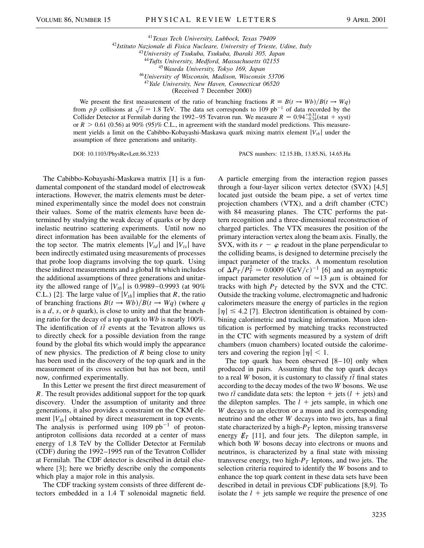*Texas Tech University, Lubbock, Texas 79409 Istituto Nazionale di Fisica Nucleare, University of Trieste, Udine, Italy University of Tsukuba, Tsukuba, Ibaraki 305, Japan Tufts University, Medford, Massachusetts 02155 Waseda University, Tokyo 169, Japan University of Wisconsin, Madison, Wisconsin 53706 Yale University, New Haven, Connecticut 06520* (Received 7 December 2000)

We present the first measurement of the ratio of branching fractions  $R = B(t \rightarrow Wb)/B(t \rightarrow Wq)$ from  $p\bar{p}$  collisions at  $\sqrt{s} = 1.8$  TeV. The data set corresponds to 109 pb<sup>-1</sup> of data recorded by the Collider Detector at Fermilab during the 1992–95 Tevatron run. We measure  $R = 0.94_{-0.24}^{+0.31}$ (stat + syst) or  $R > 0.61$  (0.56) at 90% (95)% C.L., in agreement with the standard model predictions. This measurement yields a limit on the Cabibbo-Kobayashi-Maskawa quark mixing matrix element j*Vtb*j under the assumption of three generations and unitarity.

DOI: 10.1103/PhysRevLett.86.3233 PACS numbers: 12.15.Hh, 13.85.Ni, 14.65.Ha

The Cabibbo-Kobayashi-Maskawa matrix [1] is a fundamental component of the standard model of electroweak interactions. However, the matrix elements must be determined experimentally since the model does not constrain their values. Some of the matrix elements have been determined by studying the weak decay of quarks or by deep inelastic neutrino scattering experiments. Until now no direct information has been available for the elements of the top sector. The matrix elements  $|V_{td}|$  and  $|V_{ts}|$  have been indirectly estimated using measurements of processes that probe loop diagrams involving the top quark. Using these indirect measurements and a global fit which includes the additional assumptions of three generations and unitarity the allowed range of  $|V_{tb}|$  is 0.9989–0.9993 (at 90%) C.L.) [2]. The large value of  $|V_{tb}|$  implies that *R*, the ratio of branching fractions  $B(t \rightarrow Wb)/B(t \rightarrow Wq)$  (where q is a *d*, *s*, or *b* quark), is close to unity and that the branching ratio for the decay of a top quark to *Wb* is nearly 100%. The identification of  $t\bar{t}$  events at the Tevatron allows us to directly check for a possible deviation from the range found by the global fits which would imply the appearance of new physics. The prediction of *R* being close to unity has been used in the discovery of the top quark and in the measurement of its cross section but has not been, until now, confirmed experimentally.

In this Letter we present the first direct measurement of *R*. The result provides additional support for the top quark discovery. Under the assumption of unitarity and three generations, it also provides a constraint on the CKM element  $|V_{tb}|$  obtained by direct measurement in top events. The analysis is performed using  $109$  pb<sup>-1</sup> of protonantiproton collisions data recorded at a center of mass energy of 1.8 TeV by the Collider Detector at Fermilab (CDF) during the 1992–1995 run of the Tevatron Collider at Fermilab. The CDF detector is described in detail elsewhere [3]; here we briefly describe only the components which play a major role in this analysis.

The CDF tracking system consists of three different detectors embedded in a 1.4 T solenoidal magnetic field. A particle emerging from the interaction region passes through a four-layer silicon vertex detector (SVX) [4,5] located just outside the beam pipe, a set of vertex time projection chambers (VTX), and a drift chamber (CTC) with 84 measuring planes. The CTC performs the pattern recognition and a three-dimensional reconstruction of charged particles. The VTX measures the position of the primary interaction vertex along the beam axis. Finally, the SVX, with its  $r - \varphi$  readout in the plane perpendicular to the colliding beams, is designed to determine precisely the impact parameter of the tracks. A momentum resolution of  $\Delta P_T / P_T^2 \simeq 0.0009 \text{ (GeV/}c)^{-1}$  [6] and an asymptotic impact parameter resolution of  $\approx$ 13  $\mu$ m is obtained for tracks with high  $P_T$  detected by the SVX and the CTC. Outside the tracking volume, electromagnetic and hadronic calorimeters measure the energy of particles in the region  $|\eta| \leq 4.2$  [7]. Electron identification is obtained by combining calorimetric and tracking information. Muon identification is performed by matching tracks reconstructed in the CTC with segments measured by a system of drift chambers (muon chambers) located outside the calorimeters and covering the region  $|\eta| < 1$ .

The top quark has been observed  $[8-10]$  only when produced in pairs. Assuming that the top quark decays to a real *W* boson, it is customary to classify  $t\bar{t}$  final states according to the decay modes of the two *W* bosons. We use two  $t\bar{t}$  candidate data sets: the lepton  $+$  jets  $(l +$  jets) and the dilepton samples. The  $l +$  jets sample, in which one *W* decays to an electron or a muon and its corresponding neutrino and the other *W* decays into two jets, has a final state characterized by a high- $P_T$  lepton, missing transverse energy  $E_T$  [11], and four jets. The dilepton sample, in which both *W* bosons decay into electrons or muons and neutrinos, is characterized by a final state with missing transverse energy, two high- $P_T$  leptons, and two jets. The selection criteria required to identify the *W* bosons and to enhance the top quark content in these data sets have been described in detail in previous CDF publications [8,9]. To isolate the  $l +$  jets sample we require the presence of one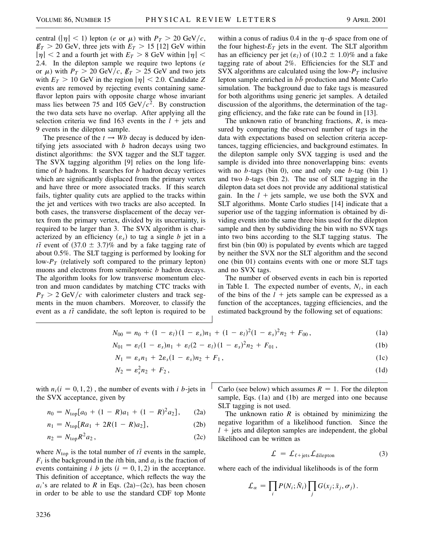central  $\left(\left|\eta\right| < 1\right)$  lepton (*e* or  $\mu$ ) with  $P_T > 20 \text{ GeV}/c$ ,  $E_T > 20$  GeV, three jets with  $E_T > 15$  [12] GeV within  $|\eta|$  < 2 and a fourth jet with  $E_T > 8$  GeV within  $|\eta|$  < 2.4. In the dilepton sample we require two leptons (*e* or  $\mu$ ) with  $P_T > 20 \text{ GeV}/c$ ,  $E_T > 25 \text{ GeV}$  and two jets with  $E_T > 10$  GeV in the region  $|\eta| < 2.0$ . Candidate Z events are removed by rejecting events containing sameflavor lepton pairs with opposite charge whose invariant mass lies between 75 and 105 GeV/ $c^2$ . By construction the two data sets have no overlap. After applying all the selection criteria we find 163 events in the  $l +$  jets and 9 events in the dilepton sample.

The presence of the  $t \rightarrow Wb$  decay is deduced by identifying jets associated with *b* hadron decays using two distinct algorithms: the SVX tagger and the SLT tagger. The SVX tagging algorithm [9] relies on the long lifetime of *b* hadrons. It searches for *b* hadron decay vertices which are significantly displaced from the primary vertex and have three or more associated tracks. If this search fails, tighter quality cuts are applied to the tracks within the jet and vertices with two tracks are also accepted. In both cases, the transverse displacement of the decay vertex from the primary vertex, divided by its uncertainty, is required to be larger than 3. The SVX algorithm is characterized by an efficiency  $(\varepsilon_s)$  to tag a single *b* jet in a  $t\bar{t}$  event of  $(37.0 \pm 3.7)\%$  and by a fake tagging rate of about 0.5%. The SLT tagging is performed by looking for low- $P_T$  (relatively soft compared to the primary lepton) muons and electrons from semileptonic *b* hadron decays. The algorithm looks for low transverse momentum electron and muon candidates by matching CTC tracks with  $P_T > 2$  GeV/c with calorimeter clusters and track segments in the muon chambers. Moreover, to classify the event as a  $t\bar{t}$  candidate, the soft lepton is required to be within a conus of radius 0.4 in the  $\eta$ - $\phi$  space from one of the four highest- $E_T$  jets in the event. The SLT algorithm has an efficiency per jet  $(\varepsilon_l)$  of  $(10.2 \pm 1.0)\%$  and a fake tagging rate of about 2%. Efficiencies for the SLT and SVX algorithms are calculated using the low- $P<sub>T</sub>$  inclusive lepton sample enriched in  $b\bar{b}$  production and Monte Carlo simulation. The background due to fake tags is measured for both algorithms using generic jet samples. A detailed discussion of the algorithms, the determination of the tagging efficiency, and the fake rate can be found in [13].

The unknown ratio of branching fractions, *R*, is measured by comparing the observed number of tags in the data with expectations based on selection criteria acceptances, tagging efficiencies, and background estimates. In the dilepton sample only SVX tagging is used and the sample is divided into three nonoverlapping bins: events with no *b*-tags (bin 0), one and only one *b*-tag (bin 1) and two *b*-tags (bin 2). The use of SLT tagging in the dilepton data set does not provide any additional statistical gain. In the  $l +$  jets sample, we use both the SVX and SLT algorithms. Monte Carlo studies [14] indicate that a superior use of the tagging information is obtained by dividing events into the same three bins used for the dilepton sample and then by subdividing the bin with no SVX tags into two bins according to the SLT tagging status. The first bin (bin 00) is populated by events which are tagged by neither the SVX nor the SLT algorithm and the second one (bin 01) contains events with one or more SLT tags and no SVX tags.

The number of observed events in each bin is reported in Table I. The expected number of events,  $N_i$ , in each of the bins of the  $l +$  jets sample can be expressed as a function of the acceptances, tagging efficiencies, and the estimated background by the following set of equations:

$$
N_{00} = n_0 + (1 - \varepsilon_l)(1 - \varepsilon_s)n_1 + (1 - \varepsilon_l)^2(1 - \varepsilon_s)^2 n_2 + F_{00}, \qquad (1a)
$$

$$
N_{01} = \varepsilon_l (1 - \varepsilon_s) n_1 + \varepsilon_l (2 - \varepsilon_l) (1 - \varepsilon_s)^2 n_2 + F_{01}, \qquad (1b)
$$

$$
N_1 = \varepsilon_s n_1 + 2\varepsilon_s (1 - \varepsilon_s) n_2 + F_1, \qquad (1c)
$$

$$
N_2 = \varepsilon_s^2 n_2 + F_2, \tag{1d}
$$

with  $n_i(i = 0, 1, 2)$ , the number of events with *i b*-jets in the SVX acceptance, given by

$$
n_0 = N_{\text{top}}[a_0 + (1 - R)a_1 + (1 - R)^2 a_2], \qquad (2a)
$$

$$
n_1 = N_{\text{top}}[Ra_1 + 2R(1 - R)a_2], \tag{2b}
$$

$$
n_2 = N_{\text{top}} R^2 a_2, \qquad (2c)
$$

where  $N_{\text{top}}$  is the total number of  $t\bar{t}$  events in the sample,  $F_i$  is the background in the *i*th bin, and  $a_i$  is the fraction of events containing *i b* jets  $(i = 0, 1, 2)$  in the acceptance. This definition of acceptance, which reflects the way the  $a_i$ 's are related to *R* in Eqs. (2a)–(2c), has been chosen in order to be able to use the standard CDF top Monte Carlo (see below) which assumes  $R = 1$ . For the dilepton sample, Eqs. (1a) and (1b) are merged into one because SLT tagging is not used.

The unknown ratio  $R$  is obtained by minimizing the negative logarithm of a likelihood function. Since the  $l +$  jets and dilepton samples are independent, the global likelihood can be written as

$$
\mathcal{L} = \mathcal{L}_{\ell + \text{jets}} \mathcal{L}_{\text{dilepton}} \tag{3}
$$

where each of the individual likelihoods is of the form

$$
\mathcal{L}_{\alpha} = \prod_{i} P(N_i; \bar{N}_i) \prod_{j} G(x_j; \bar{x}_j, \sigma_j).
$$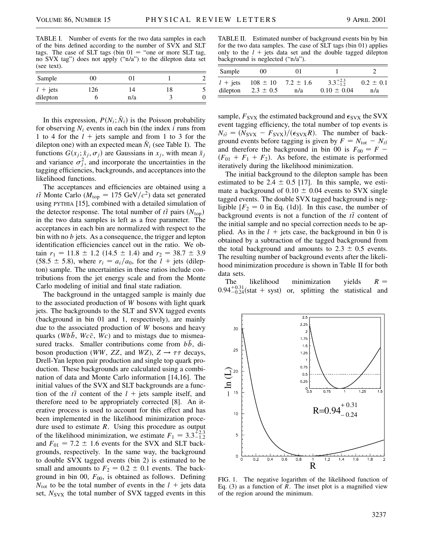TABLE I. Number of events for the two data samples in each of the bins defined according to the number of SVX and SLT tags. The case of SLT tags (bin  $01 =$  "one or more SLT tag, no SVX tag") does not apply ("n/a") to the dilepton data set (see text).

| Sample            | 00  |     |    |  |
|-------------------|-----|-----|----|--|
| $l + \text{jets}$ | 126 | 14  | 18 |  |
| dilepton          |     | n/a |    |  |

In this expression,  $P(N_i; \bar{N}_i)$  is the Poisson probability for observing  $N_i$  events in each bin (the index  $i$  runs from 1 to 4 for the  $l +$  jets sample and from 1 to 3 for the dilepton one) with an expected mean  $N_i$  (see Table I). The functions  $G(x_j; \bar{x}_j, \sigma_j)$  are Gaussians in  $x_j$ , with mean  $\bar{x}_j$ and variance  $\sigma_j^2$ , and incorporate the uncertainties in the tagging efficiencies, backgrounds, and acceptances into the likelihood functions.

The acceptances and efficiencies are obtained using a *tt* Monte Carlo ( $M_{\text{top}} = 175 \text{ GeV}/c^2$ ) data set generated using PYTHIA [15], combined with a detailed simulation of the detector response. The total number of  $t\bar{t}$  pairs  $(N_{\text{top}})$ in the two data samples is left as a free parameter. The acceptances in each bin are normalized with respect to the bin with no *b* jets. As a consequence, the trigger and lepton identification efficiencies cancel out in the ratio. We obtain  $r_1 = 11.8 \pm 1.2$  (14.5  $\pm$  1.4) and  $r_2 = 38.7 \pm 3.9$  $(58.5 \pm 5.8)$ , where  $r_i = a_i/a_0$ , for the  $l + \text{jets}$  (dilepton) sample. The uncertainties in these ratios include contributions from the jet energy scale and from the Monte Carlo modeling of initial and final state radiation.

The background in the untagged sample is mainly due to the associated production of *W* bosons with light quark jets. The backgrounds to the SLT and SVX tagged events (background in bin 01 and 1, respectively), are mainly due to the associated production of *W* bosons and heavy quarks (*Wbb*,  $Wc\bar{c}$ , *Wc*) and to mistags due to mismeasured tracks. Smaller contributions come from  $b\bar{b}$ , diboson production (*WW*, *ZZ*, and *WZ*),  $Z \rightarrow \tau \tau$  decays, Drell-Yan lepton pair production and single top quark production. These backgrounds are calculated using a combination of data and Monte Carlo information [14,16]. The initial values of the SVX and SLT backgrounds are a function of the  $t\bar{t}$  content of the  $l +$  jets sample itself, and therefore need to be appropriately corrected [8]. An iterative process is used to account for this effect and has been implemented in the likelihood minimization procedure used to estimate *R*. Using this procedure as output of the likelihood minimization, we estimate  $F_1 = 3.3^{+2.3}_{-1.2}$ and  $F_{01} = 7.2 \pm 1.6$  events for the SVX and SLT backgrounds, respectively. In the same way, the background to double SVX tagged events (bin 2) is estimated to be small and amounts to  $F_2 = 0.2 \pm 0.1$  events. The background in bin 00,  $F_{00}$ , is obtained as follows. Defining  $N_{\text{tot}}$  to be the total number of events in the  $l +$  jets data set,  $N_{SVX}$  the total number of SVX tagged events in this

TABLE II. Estimated number of background events bin by bin for the two data samples. The case of SLT tags (bin 01) applies only to the  $l +$  jets data set and the double tagged dilepton background is neglected ("n/a").

| Sample                 | 00                            | $_{01}$              |                                        |                      |
|------------------------|-------------------------------|----------------------|----------------------------------------|----------------------|
| $l +$ jets<br>dilepton | $108 \pm 10$<br>$2.3 \pm 0.5$ | $7.2 \pm 1.6$<br>n/a | $3.3^{+2.3}_{-1.2}$<br>$0.10 \pm 0.04$ | $0.2 \pm 0.1$<br>n/a |

sample,  $F_{S}VX$  the estimated background and  $\epsilon_{S}VX$  the SVX event tagging efficiency, the total number of top events is  $N_{t\bar{t}} = (N_{\text{SVX}} - F_{\text{SVX}})/(\epsilon_{\text{SVX}}R)$ . The number of background events before tagging is given by  $F = N_{\text{tot}} - N_{t\bar{t}}$ and therefore the background in bin 00 is  $F_{00} = F (F_{01} + F_1 + F_2)$ . As before, the estimate is performed iteratively during the likelihood minimization.

The initial background to the dilepton sample has been estimated to be 2.4  $\pm$  0.5 [17]. In this sample, we estimate a background of  $0.10 \pm 0.04$  events to SVX single tagged events. The double SVX tagged background is negligible  $[F_2 = 0$  in Eq. (1d)]. In this case, the number of background events is not a function of the  $t\bar{t}$  content of the initial sample and no special correction needs to be applied. As in the  $l +$  jets case, the background in bin 0 is obtained by a subtraction of the tagged background from the total background and amounts to  $2.3 \pm 0.5$  events. The resulting number of background events after the likelihood minimization procedure is shown in Table II for both data sets.

The likelihood minimization yields  $R =$  $0.94_{-0.24}^{+0.31}$ (stat + syst) or, splitting the statistical and



FIG. 1. The negative logarithm of the likelihood function of Eq.  $(3)$  as a function of *R*. The inset plot is a magnified view of the region around the minimum.